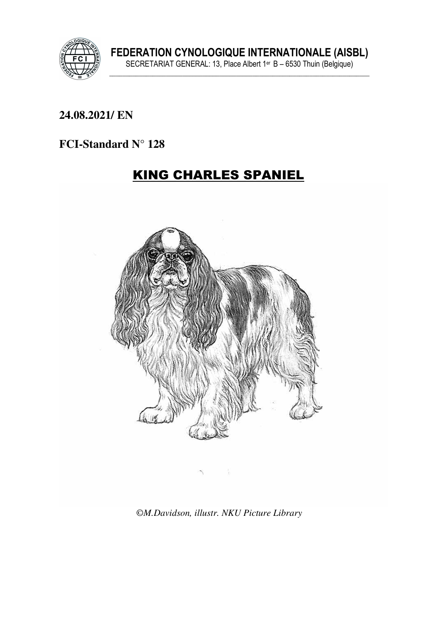

#### **24.08.2021/ EN**

#### **FCI-Standard N° 128**

# KING CHARLES SPANIEL



©*M.Davidson, illustr. NKU Picture Library*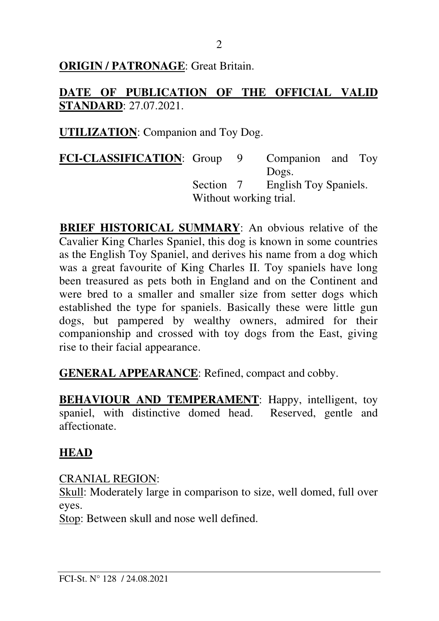### **ORIGIN / PATRONAGE:** Great Britain.

### **DATE OF PUBLICATION OF THE OFFICIAL VALID STANDARD**: 27.07.2021.

**UTILIZATION**: Companion and Toy Dog.

**FCI-CLASSIFICATION**: Group 9 Companion and Toy Dogs. Section 7 English Toy Spaniels. Without working trial.

**BRIEF HISTORICAL SUMMARY**: An obvious relative of the Cavalier King Charles Spaniel, this dog is known in some countries as the English Toy Spaniel, and derives his name from a dog which was a great favourite of King Charles II. Toy spaniels have long been treasured as pets both in England and on the Continent and were bred to a smaller and smaller size from setter dogs which established the type for spaniels. Basically these were little gun dogs, but pampered by wealthy owners, admired for their companionship and crossed with toy dogs from the East, giving rise to their facial appearance.

**GENERAL APPEARANCE**: Refined, compact and cobby.

**BEHAVIOUR AND TEMPERAMENT:** Happy, intelligent, toy spaniel, with distinctive domed head. Reserved, gentle and affectionate.

# **HEAD**

CRANIAL REGION:

Skull: Moderately large in comparison to size, well domed, full over eyes.

Stop: Between skull and nose well defined.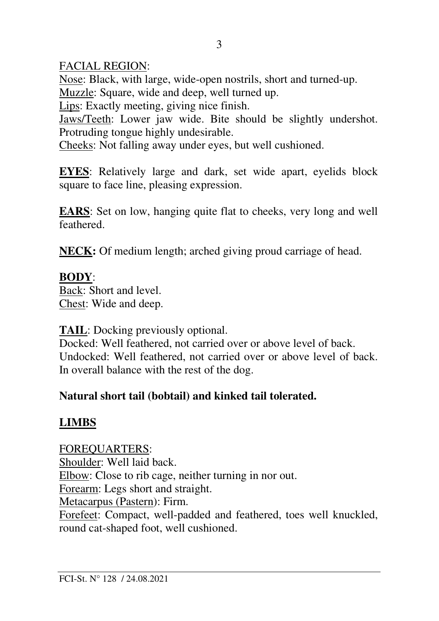### FACIAL REGION:

Nose: Black, with large, wide-open nostrils, short and turned-up. Muzzle: Square, wide and deep, well turned up.

Lips: Exactly meeting, giving nice finish.

Jaws/Teeth: Lower jaw wide. Bite should be slightly undershot. Protruding tongue highly undesirable.

Cheeks: Not falling away under eyes, but well cushioned.

**EYES**: Relatively large and dark, set wide apart, eyelids block square to face line, pleasing expression.

**EARS**: Set on low, hanging quite flat to cheeks, very long and well feathered.

**NECK:** Of medium length; arched giving proud carriage of head.

### **BODY**:

Back: Short and level. Chest: Wide and deep.

**TAIL**: Docking previously optional.

Docked: Well feathered, not carried over or above level of back. Undocked: Well feathered, not carried over or above level of back. In overall balance with the rest of the dog.

# **Natural short tail (bobtail) and kinked tail tolerated.**

# **LIMBS**

FOREQUARTERS: Shoulder: Well laid back. Elbow: Close to rib cage, neither turning in nor out. Forearm: Legs short and straight. Metacarpus (Pastern): Firm. Forefeet: Compact, well-padded and feathered, toes well knuckled, round cat-shaped foot, well cushioned.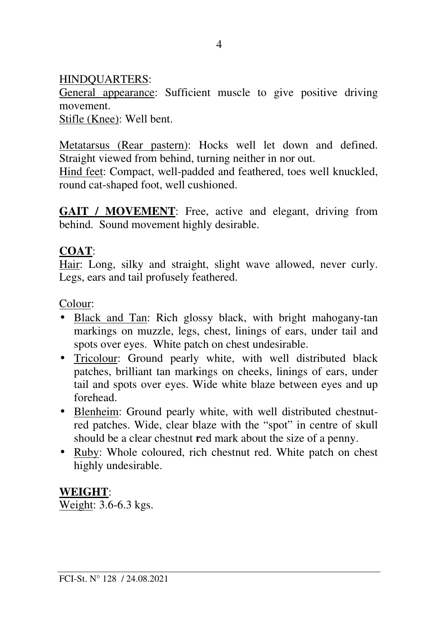### HINDQUARTERS:

General appearance: Sufficient muscle to give positive driving movement.

Stifle (Knee): Well bent.

Metatarsus (Rear pastern): Hocks well let down and defined. Straight viewed from behind, turning neither in nor out.

Hind feet: Compact, well-padded and feathered, toes well knuckled, round cat-shaped foot, well cushioned.

GAIT / MOVEMENT: Free, active and elegant, driving from behind. Sound movement highly desirable.

### **COAT**:

Hair: Long, silky and straight, slight wave allowed, never curly. Legs, ears and tail profusely feathered.

Colour:

- Black and Tan: Rich glossy black, with bright mahogany-tan markings on muzzle, legs, chest, linings of ears, under tail and spots over eyes. White patch on chest undesirable.
- Tricolour: Ground pearly white, with well distributed black patches, brilliant tan markings on cheeks, linings of ears, under tail and spots over eyes. Wide white blaze between eyes and up forehead.
- Blenheim: Ground pearly white, with well distributed chestnutred patches. Wide, clear blaze with the "spot" in centre of skull should be a clear chestnut **r**ed mark about the size of a penny.
- Ruby: Whole coloured, rich chestnut red. White patch on chest highly undesirable.

### **WEIGHT**:

Weight: 3.6-6.3 kgs.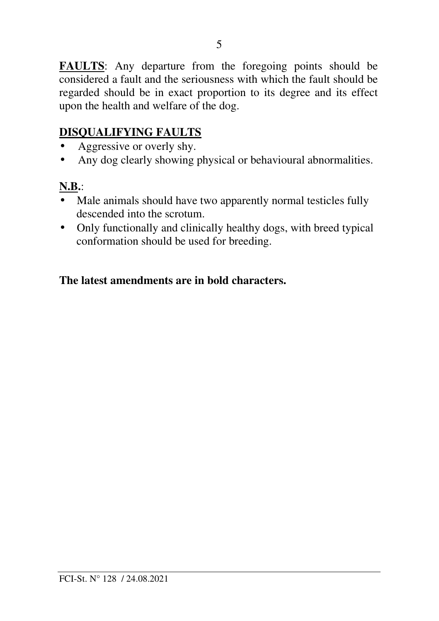**FAULTS**: Any departure from the foregoing points should be considered a fault and the seriousness with which the fault should be regarded should be in exact proportion to its degree and its effect upon the health and welfare of the dog.

### **DISQUALIFYING FAULTS**

- Aggressive or overly shy.
- Any dog clearly showing physical or behavioural abnormalities.

### **N.B.**:

- Male animals should have two apparently normal testicles fully descended into the scrotum.
- Only functionally and clinically healthy dogs, with breed typical conformation should be used for breeding.

#### **The latest amendments are in bold characters.**